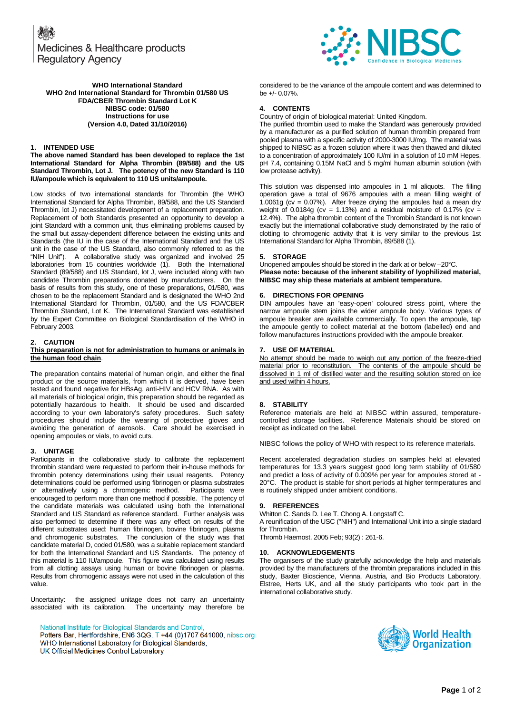Medicines & Healthcare products **Regulatory Agency** 

**WHO International Standard WHO 2nd International Standard for Thrombin 01/580 US FDA/CBER Thrombin Standard Lot K NIBSC code: 01/580 Instructions for use (Version 4.0, Dated 31/10/2016)**

### **1. INTENDED USE**

**The above named Standard has been developed to replace the 1st International Standard for Alpha Thrombin (89/588) and the US Standard Thrombin, Lot J. The potency of the new Standard is 110 IU/ampoule which is equivalent to 110 US units/ampoule.**

Low stocks of two international standards for Thrombin (the WHO International Standard for Alpha Thrombin, 89/588, and the US Standard Thrombin, lot J) necessitated development of a replacement preparation. Replacement of both Standards presented an opportunity to develop a joint Standard with a common unit, thus eliminating problems caused by the small but assay-dependent difference between the existing units and Standards (the IU in the case of the International Standard and the US unit in the case of the US Standard, also commonly referred to as the "NIH Unit"). A collaborative study was organized and involved 25 laboratories from 15 countries worldwide (1). Both the International Standard (89/588) and US Standard, lot J, were included along with two candidate Thrombin preparations donated by manufacturers. On the basis of results from this study, one of these preparations, 01/580, was chosen to be the replacement Standard and is designated the WHO 2nd International Standard for Thrombin, 01/580, and the US FDA/CBER Thrombin Standard, Lot K. The International Standard was established by the Expert Committee on Biological Standardisation of the WHO in February 2003.

## **2. CAUTION**

#### **This preparation is not for administration to humans or animals in the human food chain**.

The preparation contains material of human origin, and either the final product or the source materials, from which it is derived, have been tested and found negative for HBsAg, anti-HIV and HCV RNA. As with all materials of biological origin, this preparation should be regarded as potentially hazardous to health. It should be used and discarded according to your own laboratory's safety procedures. Such safety procedures should include the wearing of protective gloves and avoiding the generation of aerosols. Care should be exercised in opening ampoules or vials, to avoid cuts.

## **3. UNITAGE**

Participants in the collaborative study to calibrate the replacement thrombin standard were requested to perform their in-house methods for thrombin potency determinations using their usual reagents. Potency determinations could be performed using fibrinogen or plasma substrates or alternatively using a chromogenic method. Participants were or alternatively using a chromogenic method. encouraged to perform more than one method if possible. The potency of the candidate materials was calculated using both the International Standard and US Standard as reference standard. Further analysis was also performed to determine if there was any effect on results of the different substrates used: human fibrinogen, bovine fibrinogen, plasma and chromogenic substrates. The conclusion of the study was that candidate material D, coded 01/580, was a suitable replacement standard for both the International Standard and US Standards. The potency of this material is 110 IU/ampoule. This figure was calculated using results from all clotting assays using human or bovine fibrinogen or plasma. Results from chromogenic assays were not used in the calculation of this value.

Uncertainty: the assigned unitage does not carry an uncertainty associated with its calibration. The uncertainty may therefore be

National Institute for Biological Standards and Control,

Potters Bar, Hertfordshire, EN6 3QG. T +44 (0)1707 641000, nibsc.org WHO International Laboratory for Biological Standards, UK Official Medicines Control Laboratory

considered to be the variance of the ampoule content and was determined to be +/- 0.07%.

### **4. CONTENTS**

Country of origin of biological material: United Kingdom. The purified thrombin used to make the Standard was generously provided by a manufacturer as a purified solution of human thrombin prepared from pooled plasma with a specific activity of 2000-3000 IU/mg. The material was shipped to NIBSC as a frozen solution where it was then thawed and diluted to a concentration of approximately 100 IU/ml in a solution of 10 mM Hepes, pH 7.4, containing 0.15M NaCl and 5 mg/ml human albumin solution (with low protease activity).

This solution was dispensed into ampoules in 1 ml aliquots. The filling operation gave a total of 9676 ampoules with a mean filling weight of 1.0061g ( $cv = 0.07\%$ ). After freeze drying the ampoules had a mean dry weight of 0.0184g (cv = 1.13%) and a residual moisture of 0.17% (cv = 12.4%). The alpha thrombin content of the Thrombin Standard is not known exactly but the international collaborative study demonstrated by the ratio of clotting to chromogenic activity that it is very similar to the previous 1st International Standard for Alpha Thrombin, 89/588 (1).

### **5. STORAGE**

Unopened ampoules should be stored in the dark at or below –20°C. **Please note: because of the inherent stability of lyophilized material, NIBSC may ship these materials at ambient temperature.**

### **6. DIRECTIONS FOR OPENING**

DIN ampoules have an 'easy-open' coloured stress point, where the narrow ampoule stem joins the wider ampoule body. Various types of ampoule breaker are available commercially. To open the ampoule, tap the ampoule gently to collect material at the bottom (labelled) end and follow manufactures instructions provided with the ampoule breaker.

### **7. USE OF MATERIAL**

No attempt should be made to weigh out any portion of the freeze-dried material prior to reconstitution. The contents of the ampoule should be dissolved in 1 ml of distilled water and the resulting solution stored on ice and used within 4 hours.

#### **8. STABILITY**

Reference materials are held at NIBSC within assured, temperaturecontrolled storage facilities. Reference Materials should be stored on receipt as indicated on the label.

NIBSC follows the policy of WHO with respect to its reference materials.

Recent accelerated degradation studies on samples held at elevated temperatures for 13.3 years suggest good long term stability of 01/580 and predict a loss of activity of 0.009% per year for ampoules stored at - 20°C. The product is stable for short periods at higher termperatures and is routinely shipped under ambient conditions.

# **9. REFERENCES**

Whitton C. Sands D. Lee T. Chong A. Longstaff C.

A reunification of the USC ("NIH") and International Unit into a single stadard for Thrombin.

Thromb Haemost. 2005 Feb; 93(2) : 261-6.

### **10. ACKNOWLEDGEMENTS**

The organisers of the study gratefully acknowledge the help and materials provided by the manufacturers of the thrombin preparations included in this study, Baxter Bioscience, Vienna, Austria, and Bio Products Laboratory, Elstree, Herts UK, and all the study participants who took part in the international collaborative study.